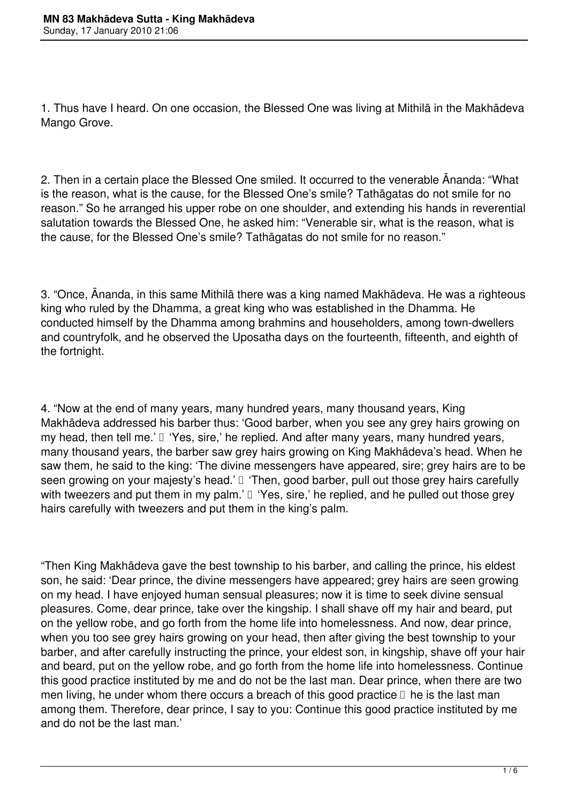1. Thus have I heard. On one occasion, the Blessed One was living at Mithilā in the Makhādeva Mango Grove.

2. Then in a certain place the Blessed One smiled. It occurred to the venerable Ānanda: "What is the reason, what is the cause, for the Blessed One's smile? Tathāgatas do not smile for no reason." So he arranged his upper robe on one shoulder, and extending his hands in reverential salutation towards the Blessed One, he asked him: "Venerable sir, what is the reason, what is the cause, for the Blessed One's smile? Tathāgatas do not smile for no reason."

3. "Once, Ānanda, in this same Mithilā there was a king named Makhādeva. He was a righteous king who ruled by the Dhamma, a great king who was established in the Dhamma. He conducted himself by the Dhamma among brahmins and householders, among town-dwellers and countryfolk, and he observed the Uposatha days on the fourteenth, fifteenth, and eighth of the fortnight.

4. "Now at the end of many years, many hundred years, many thousand years, King Makhādeva addressed his barber thus: 'Good barber, when you see any grey hairs growing on my head, then tell me.'  $\Box$  'Yes, sire,' he replied. And after many years, many hundred years, many thousand years, the barber saw grey hairs growing on King Makhādeva's head. When he saw them, he said to the king: 'The divine messengers have appeared, sire; grey hairs are to be seen growing on your majesty's head.'  $\square$  'Then, good barber, pull out those grey hairs carefully with tweezers and put them in my palm.'  $\Box$  'Yes, sire,' he replied, and he pulled out those grey hairs carefully with tweezers and put them in the king's palm.

"Then King Makhādeva gave the best township to his barber, and calling the prince, his eldest son, he said: 'Dear prince, the divine messengers have appeared; grey hairs are seen growing on my head. I have enjoyed human sensual pleasures; now it is time to seek divine sensual pleasures. Come, dear prince, take over the kingship. I shall shave off my hair and beard, put on the yellow robe, and go forth from the home life into homelessness. And now, dear prince, when you too see grey hairs growing on your head, then after giving the best township to your barber, and after carefully instructing the prince, your eldest son, in kingship, shave off your hair and beard, put on the yellow robe, and go forth from the home life into homelessness. Continue this good practice instituted by me and do not be the last man. Dear prince, when there are two men living, he under whom there occurs a breach of this good practice  $\Box$  he is the last man among them. Therefore, dear prince, I say to you: Continue this good practice instituted by me and do not be the last man.'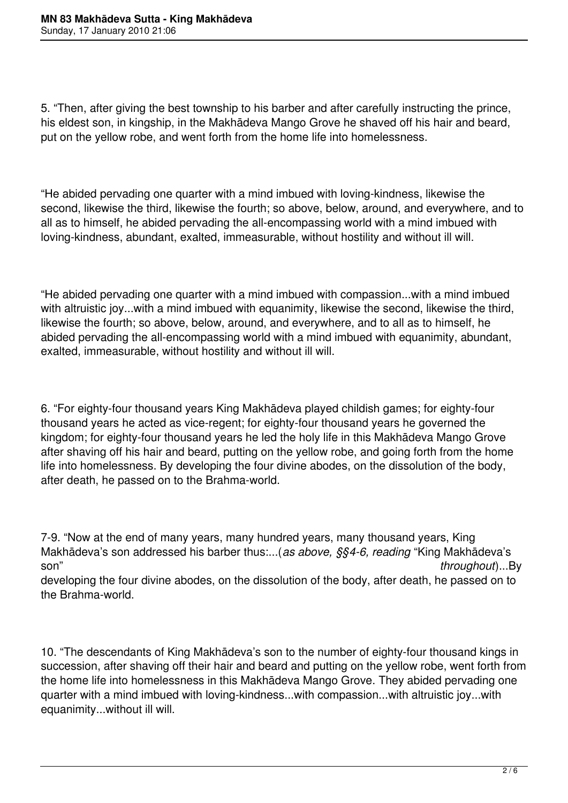5. "Then, after giving the best township to his barber and after carefully instructing the prince, his eldest son, in kingship, in the Makhādeva Mango Grove he shaved off his hair and beard, put on the yellow robe, and went forth from the home life into homelessness.

"He abided pervading one quarter with a mind imbued with loving-kindness, likewise the second, likewise the third, likewise the fourth; so above, below, around, and everywhere, and to all as to himself, he abided pervading the all-encompassing world with a mind imbued with loving-kindness, abundant, exalted, immeasurable, without hostility and without ill will.

"He abided pervading one quarter with a mind imbued with compassion...with a mind imbued with altruistic joy...with a mind imbued with equanimity, likewise the second, likewise the third, likewise the fourth; so above, below, around, and everywhere, and to all as to himself, he abided pervading the all-encompassing world with a mind imbued with equanimity, abundant, exalted, immeasurable, without hostility and without ill will.

6. "For eighty-four thousand years King Makhādeva played childish games; for eighty-four thousand years he acted as vice-regent; for eighty-four thousand years he governed the kingdom; for eighty-four thousand years he led the holy life in this Makhādeva Mango Grove after shaving off his hair and beard, putting on the yellow robe, and going forth from the home life into homelessness. By developing the four divine abodes, on the dissolution of the body, after death, he passed on to the Brahma-world.

7-9. "Now at the end of many years, many hundred years, many thousand years, King Makhādeva's son addressed his barber thus:...(*as above, §§4-6, reading* "King Makhādeva's son" *throughout*)...By developing the four divine abodes, on the dissolution of the body, after death, he passed on to the Brahma-world.

10. "The descendants of King Makhādeva's son to the number of eighty-four thousand kings in succession, after shaving off their hair and beard and putting on the yellow robe, went forth from the home life into homelessness in this Makhādeva Mango Grove. They abided pervading one quarter with a mind imbued with loving-kindness...with compassion...with altruistic joy...with equanimity...without ill will.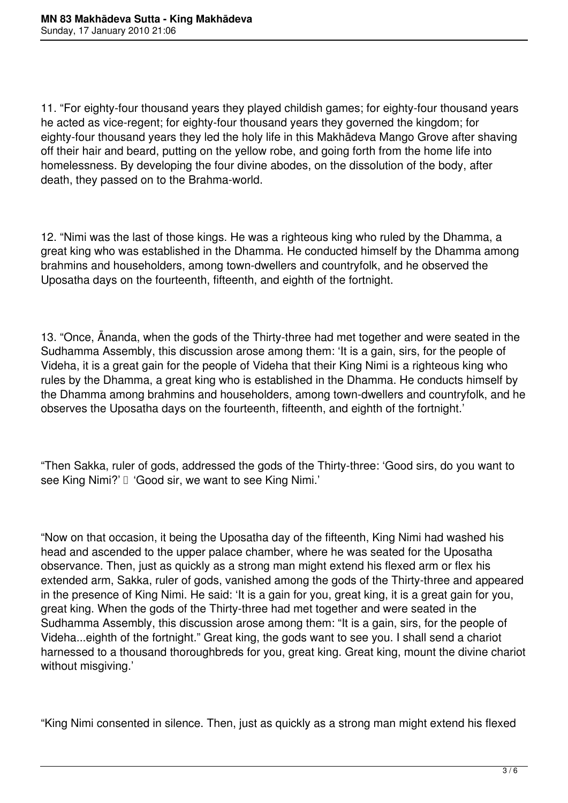11. "For eighty-four thousand years they played childish games; for eighty-four thousand years he acted as vice-regent; for eighty-four thousand years they governed the kingdom; for eighty-four thousand years they led the holy life in this Makhādeva Mango Grove after shaving off their hair and beard, putting on the yellow robe, and going forth from the home life into homelessness. By developing the four divine abodes, on the dissolution of the body, after death, they passed on to the Brahma-world.

12. "Nimi was the last of those kings. He was a righteous king who ruled by the Dhamma, a great king who was established in the Dhamma. He conducted himself by the Dhamma among brahmins and householders, among town-dwellers and countryfolk, and he observed the Uposatha days on the fourteenth, fifteenth, and eighth of the fortnight.

13. "Once, Ānanda, when the gods of the Thirty-three had met together and were seated in the Sudhamma Assembly, this discussion arose among them: 'It is a gain, sirs, for the people of Videha, it is a great gain for the people of Videha that their King Nimi is a righteous king who rules by the Dhamma, a great king who is established in the Dhamma. He conducts himself by the Dhamma among brahmins and householders, among town-dwellers and countryfolk, and he observes the Uposatha days on the fourteenth, fifteenth, and eighth of the fortnight.'

"Then Sakka, ruler of gods, addressed the gods of the Thirty-three: 'Good sirs, do you want to see King Nimi?' I 'Good sir, we want to see King Nimi.'

"Now on that occasion, it being the Uposatha day of the fifteenth, King Nimi had washed his head and ascended to the upper palace chamber, where he was seated for the Uposatha observance. Then, just as quickly as a strong man might extend his flexed arm or flex his extended arm, Sakka, ruler of gods, vanished among the gods of the Thirty-three and appeared in the presence of King Nimi. He said: 'It is a gain for you, great king, it is a great gain for you, great king. When the gods of the Thirty-three had met together and were seated in the Sudhamma Assembly, this discussion arose among them: "It is a gain, sirs, for the people of Videha...eighth of the fortnight." Great king, the gods want to see you. I shall send a chariot harnessed to a thousand thoroughbreds for you, great king. Great king, mount the divine chariot without misgiving.'

"King Nimi consented in silence. Then, just as quickly as a strong man might extend his flexed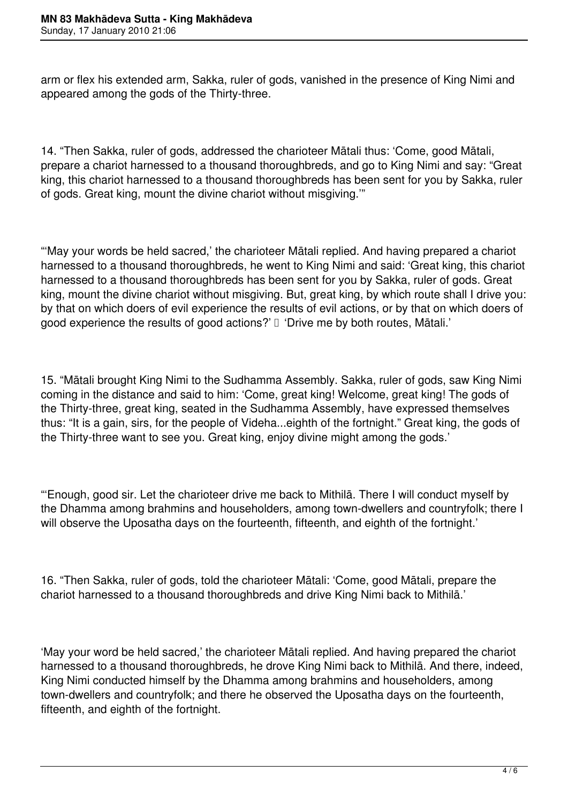arm or flex his extended arm, Sakka, ruler of gods, vanished in the presence of King Nimi and appeared among the gods of the Thirty-three.

14. "Then Sakka, ruler of gods, addressed the charioteer Mātali thus: 'Come, good Mātali, prepare a chariot harnessed to a thousand thoroughbreds, and go to King Nimi and say: "Great king, this chariot harnessed to a thousand thoroughbreds has been sent for you by Sakka, ruler of gods. Great king, mount the divine chariot without misgiving.'"

"'May your words be held sacred,' the charioteer Mātali replied. And having prepared a chariot harnessed to a thousand thoroughbreds, he went to King Nimi and said: 'Great king, this chariot harnessed to a thousand thoroughbreds has been sent for you by Sakka, ruler of gods. Great king, mount the divine chariot without misgiving. But, great king, by which route shall I drive you: by that on which doers of evil experience the results of evil actions, or by that on which doers of good experience the results of good actions?'  $\Box$  'Drive me by both routes, Mātali.'

15. "Mātali brought King Nimi to the Sudhamma Assembly. Sakka, ruler of gods, saw King Nimi coming in the distance and said to him: 'Come, great king! Welcome, great king! The gods of the Thirty-three, great king, seated in the Sudhamma Assembly, have expressed themselves thus: "It is a gain, sirs, for the people of Videha...eighth of the fortnight." Great king, the gods of the Thirty-three want to see you. Great king, enjoy divine might among the gods.'

"'Enough, good sir. Let the charioteer drive me back to Mithilā. There I will conduct myself by the Dhamma among brahmins and householders, among town-dwellers and countryfolk; there I will observe the Uposatha days on the fourteenth, fifteenth, and eighth of the fortnight.'

16. "Then Sakka, ruler of gods, told the charioteer Mātali: 'Come, good Mātali, prepare the chariot harnessed to a thousand thoroughbreds and drive King Nimi back to Mithilā.'

'May your word be held sacred,' the charioteer Mātali replied. And having prepared the chariot harnessed to a thousand thoroughbreds, he drove King Nimi back to Mithilā. And there, indeed, King Nimi conducted himself by the Dhamma among brahmins and householders, among town-dwellers and countryfolk; and there he observed the Uposatha days on the fourteenth, fifteenth, and eighth of the fortnight.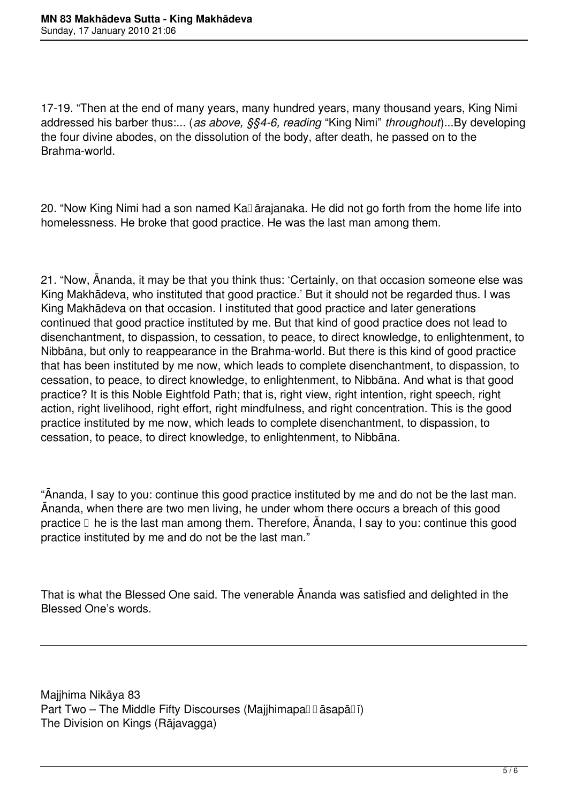17-19. "Then at the end of many years, many hundred years, many thousand years, King Nimi addressed his barber thus:... (*as above, §§4-6, reading* "King Nimi" *throughout*)...By developing the four divine abodes, on the dissolution of the body, after death, he passed on to the Brahma-world.

20. "Now King Nimi had a son named Kallarajanaka. He did not go forth from the home life into homelessness. He broke that good practice. He was the last man among them.

21. "Now, Ānanda, it may be that you think thus: 'Certainly, on that occasion someone else was King Makhādeva, who instituted that good practice.' But it should not be regarded thus. I was King Makhādeva on that occasion. I instituted that good practice and later generations continued that good practice instituted by me. But that kind of good practice does not lead to disenchantment, to dispassion, to cessation, to peace, to direct knowledge, to enlightenment, to Nibbāna, but only to reappearance in the Brahma-world. But there is this kind of good practice that has been instituted by me now, which leads to complete disenchantment, to dispassion, to cessation, to peace, to direct knowledge, to enlightenment, to Nibbāna. And what is that good practice? It is this Noble Eightfold Path; that is, right view, right intention, right speech, right action, right livelihood, right effort, right mindfulness, and right concentration. This is the good practice instituted by me now, which leads to complete disenchantment, to dispassion, to cessation, to peace, to direct knowledge, to enlightenment, to Nibbāna.

"Ānanda, I say to you: continue this good practice instituted by me and do not be the last man. Ānanda, when there are two men living, he under whom there occurs a breach of this good practice  $\Box$  he is the last man among them. Therefore,  $\bar{A}$ nanda, I say to you: continue this good practice instituted by me and do not be the last man."

That is what the Blessed One said. The venerable Ānanda was satisfied and delighted in the Blessed One's words.

Majihima Nikāya 83 Part Two – The Middle Fifty Discourses (Majjhimapall lasapalli) The Division on Kings (Rājavagga)